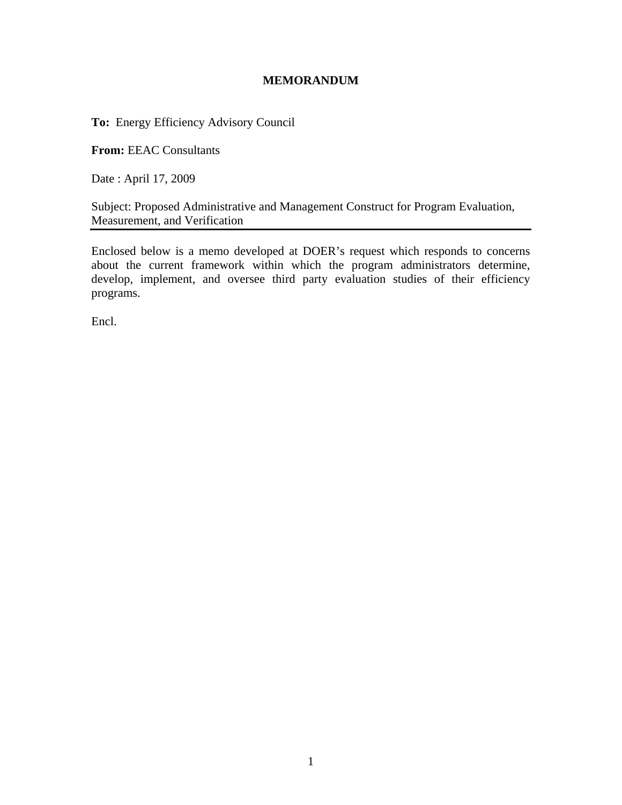#### **MEMORANDUM**

**To:** Energy Efficiency Advisory Council

**From:** EEAC Consultants

Date : April 17, 2009

Subject: Proposed Administrative and Management Construct for Program Evaluation, Measurement, and Verification

Enclosed below is a memo developed at DOER's request which responds to concerns about the current framework within which the program administrators determine, develop, implement, and oversee third party evaluation studies of their efficiency programs.

Encl.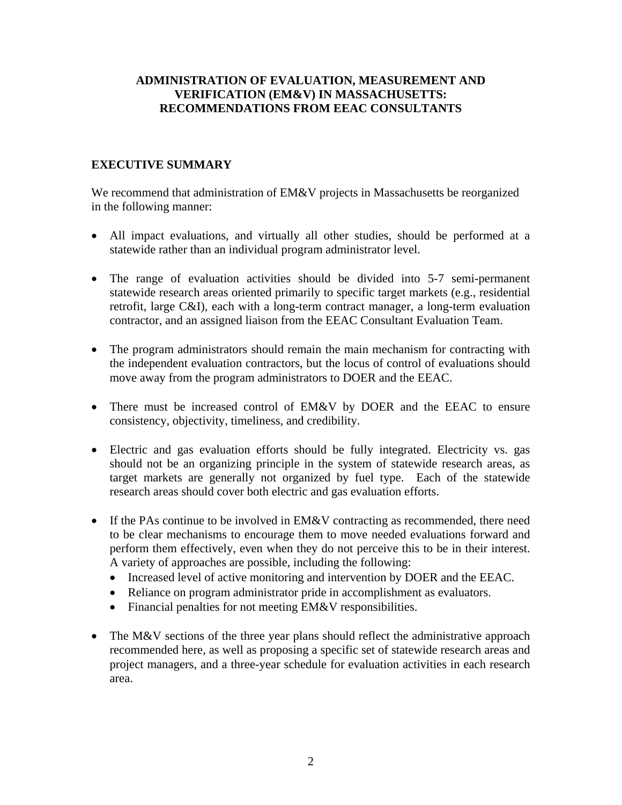## **ADMINISTRATION OF EVALUATION, MEASUREMENT AND VERIFICATION (EM&V) IN MASSACHUSETTS: RECOMMENDATIONS FROM EEAC CONSULTANTS**

# **EXECUTIVE SUMMARY**

We recommend that administration of EM&V projects in Massachusetts be reorganized in the following manner:

- All impact evaluations, and virtually all other studies, should be performed at a statewide rather than an individual program administrator level.
- The range of evaluation activities should be divided into 5-7 semi-permanent statewide research areas oriented primarily to specific target markets (e.g., residential retrofit, large C&I), each with a long-term contract manager, a long-term evaluation contractor, and an assigned liaison from the EEAC Consultant Evaluation Team.
- The program administrators should remain the main mechanism for contracting with the independent evaluation contractors, but the locus of control of evaluations should move away from the program administrators to DOER and the EEAC.
- There must be increased control of EM&V by DOER and the EEAC to ensure consistency, objectivity, timeliness, and credibility.
- Electric and gas evaluation efforts should be fully integrated. Electricity vs. gas should not be an organizing principle in the system of statewide research areas, as target markets are generally not organized by fuel type. Each of the statewide research areas should cover both electric and gas evaluation efforts.
- If the PAs continue to be involved in EM&V contracting as recommended, there need to be clear mechanisms to encourage them to move needed evaluations forward and perform them effectively, even when they do not perceive this to be in their interest. A variety of approaches are possible, including the following:
	- Increased level of active monitoring and intervention by DOER and the EEAC.
	- Reliance on program administrator pride in accomplishment as evaluators.
	- Financial penalties for not meeting EM&V responsibilities.
- The M&V sections of the three year plans should reflect the administrative approach recommended here, as well as proposing a specific set of statewide research areas and project managers, and a three-year schedule for evaluation activities in each research area.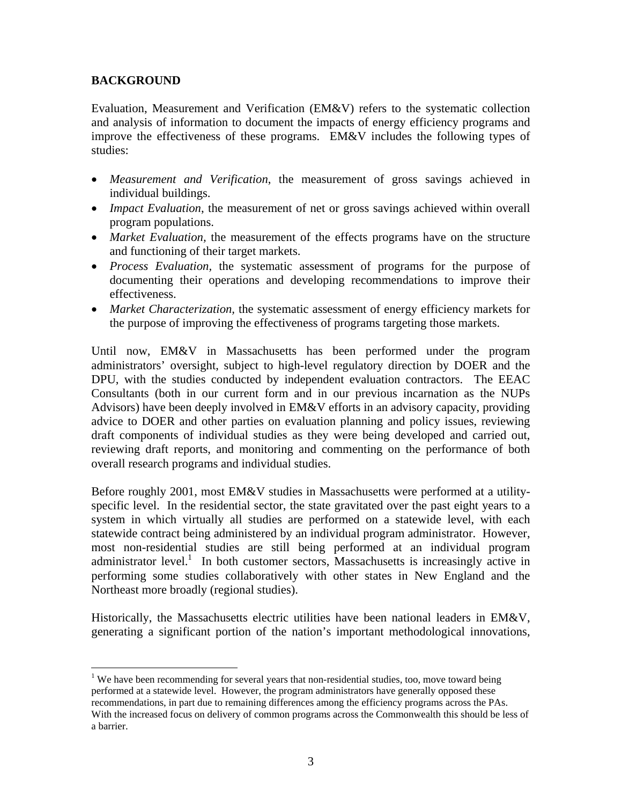## **BACKGROUND**

Evaluation, Measurement and Verification (EM&V) refers to the systematic collection and analysis of information to document the impacts of energy efficiency programs and improve the effectiveness of these programs. EM&V includes the following types of studies:

- *Measurement and Verification*, the measurement of gross savings achieved in individual buildings.
- *Impact Evaluation*, the measurement of net or gross savings achieved within overall program populations.
- *Market Evaluation*, the measurement of the effects programs have on the structure and functioning of their target markets.
- *Process Evaluation,* the systematic assessment of programs for the purpose of documenting their operations and developing recommendations to improve their effectiveness.
- *Market Characterization*, the systematic assessment of energy efficiency markets for the purpose of improving the effectiveness of programs targeting those markets.

Until now, EM&V in Massachusetts has been performed under the program administrators' oversight, subject to high-level regulatory direction by DOER and the DPU, with the studies conducted by independent evaluation contractors. The EEAC Consultants (both in our current form and in our previous incarnation as the NUPs Advisors) have been deeply involved in  $EM&V$  efforts in an advisory capacity, providing advice to DOER and other parties on evaluation planning and policy issues, reviewing draft components of individual studies as they were being developed and carried out, reviewing draft reports, and monitoring and commenting on the performance of both overall research programs and individual studies.

Before roughly 2001, most EM&V studies in Massachusetts were performed at a utilityspecific level. In the residential sector, the state gravitated over the past eight years to a system in which virtually all studies are performed on a statewide level, with each statewide contract being administered by an individual program administrator. However, most non-residential studies are still being performed at an individual program administrator level.<sup>1</sup> In both customer sectors, Massachusetts is increasingly active in performing some studies collaboratively with other states in New England and the Northeast more broadly (regional studies).

Historically, the Massachusetts electric utilities have been national leaders in EM&V, generating a significant portion of the nation's important methodological innovations,

<sup>1</sup> <sup>1</sup> We have been recommending for several years that non-residential studies, too, move toward being performed at a statewide level. However, the program administrators have generally opposed these recommendations, in part due to remaining differences among the efficiency programs across the PAs. With the increased focus on delivery of common programs across the Commonwealth this should be less of a barrier.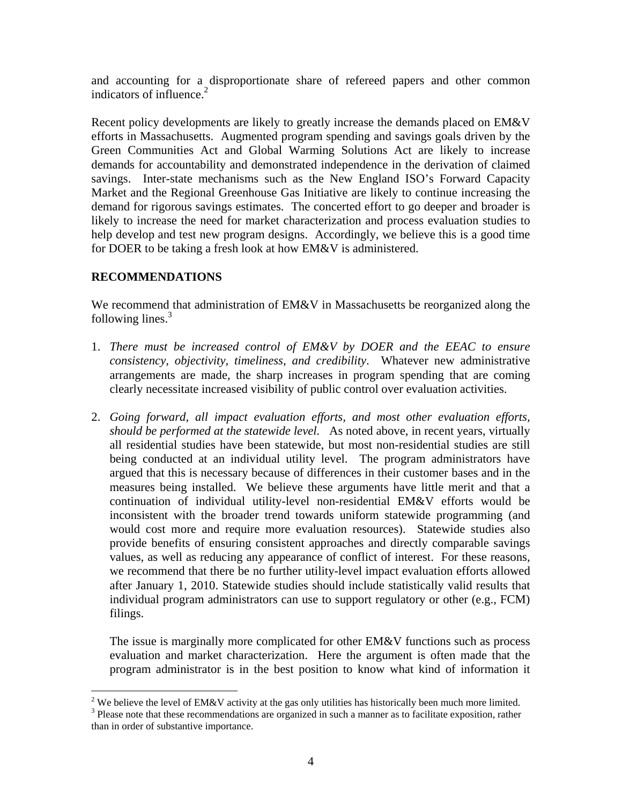and accounting for a disproportionate share of refereed papers and other common indicators of influence.<sup>2</sup>

Recent policy developments are likely to greatly increase the demands placed on EM&V efforts in Massachusetts. Augmented program spending and savings goals driven by the Green Communities Act and Global Warming Solutions Act are likely to increase demands for accountability and demonstrated independence in the derivation of claimed savings. Inter-state mechanisms such as the New England ISO's Forward Capacity Market and the Regional Greenhouse Gas Initiative are likely to continue increasing the demand for rigorous savings estimates. The concerted effort to go deeper and broader is likely to increase the need for market characterization and process evaluation studies to help develop and test new program designs. Accordingly, we believe this is a good time for DOER to be taking a fresh look at how EM&V is administered.

## **RECOMMENDATIONS**

We recommend that administration of EM&V in Massachusetts be reorganized along the following lines. $3$ 

- 1. *There must be increased control of EM&V by DOER and the EEAC to ensure consistency, objectivity, timeliness, and credibility*. Whatever new administrative arrangements are made, the sharp increases in program spending that are coming clearly necessitate increased visibility of public control over evaluation activities.
- 2. *Going forward, all impact evaluation efforts, and most other evaluation efforts, should be performed at the statewide level.* As noted above, in recent years, virtually all residential studies have been statewide, but most non-residential studies are still being conducted at an individual utility level. The program administrators have argued that this is necessary because of differences in their customer bases and in the measures being installed. We believe these arguments have little merit and that a continuation of individual utility-level non-residential EM&V efforts would be inconsistent with the broader trend towards uniform statewide programming (and would cost more and require more evaluation resources). Statewide studies also provide benefits of ensuring consistent approaches and directly comparable savings values, as well as reducing any appearance of conflict of interest. For these reasons, we recommend that there be no further utility-level impact evaluation efforts allowed after January 1, 2010. Statewide studies should include statistically valid results that individual program administrators can use to support regulatory or other (e.g., FCM) filings.

The issue is marginally more complicated for other EM&V functions such as process evaluation and market characterization. Here the argument is often made that the program administrator is in the best position to know what kind of information it

 $\overline{a}$ <sup>2</sup> We believe the level of EM&V activity at the gas only utilities has historically been much more limited. <sup>3</sup> Please note that these recommendations are organized in such a manner as to facilitate exposition, rather than in order of substantive importance.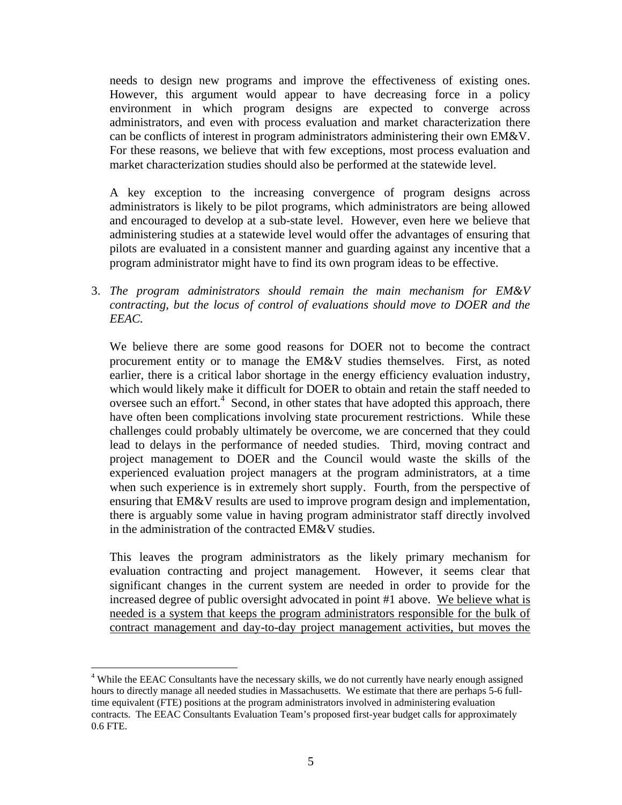needs to design new programs and improve the effectiveness of existing ones. However, this argument would appear to have decreasing force in a policy environment in which program designs are expected to converge across administrators, and even with process evaluation and market characterization there can be conflicts of interest in program administrators administering their own EM&V. For these reasons, we believe that with few exceptions, most process evaluation and market characterization studies should also be performed at the statewide level.

A key exception to the increasing convergence of program designs across administrators is likely to be pilot programs, which administrators are being allowed and encouraged to develop at a sub-state level. However, even here we believe that administering studies at a statewide level would offer the advantages of ensuring that pilots are evaluated in a consistent manner and guarding against any incentive that a program administrator might have to find its own program ideas to be effective.

3. *The program administrators should remain the main mechanism for EM&V contracting, but the locus of control of evaluations should move to DOER and the EEAC.* 

We believe there are some good reasons for DOER not to become the contract procurement entity or to manage the EM&V studies themselves. First, as noted earlier, there is a critical labor shortage in the energy efficiency evaluation industry, which would likely make it difficult for DOER to obtain and retain the staff needed to oversee such an effort. $4$  Second, in other states that have adopted this approach, there have often been complications involving state procurement restrictions. While these challenges could probably ultimately be overcome, we are concerned that they could lead to delays in the performance of needed studies. Third, moving contract and project management to DOER and the Council would waste the skills of the experienced evaluation project managers at the program administrators, at a time when such experience is in extremely short supply. Fourth, from the perspective of ensuring that EM&V results are used to improve program design and implementation, there is arguably some value in having program administrator staff directly involved in the administration of the contracted EM&V studies.

This leaves the program administrators as the likely primary mechanism for evaluation contracting and project management. However, it seems clear that significant changes in the current system are needed in order to provide for the increased degree of public oversight advocated in point #1 above. We believe what is needed is a system that keeps the program administrators responsible for the bulk of contract management and day-to-day project management activities, but moves the

 $\overline{a}$ <sup>4</sup> While the EEAC Consultants have the necessary skills, we do not currently have nearly enough assigned hours to directly manage all needed studies in Massachusetts. We estimate that there are perhaps 5-6 fulltime equivalent (FTE) positions at the program administrators involved in administering evaluation contracts. The EEAC Consultants Evaluation Team's proposed first-year budget calls for approximately 0.6 FTE.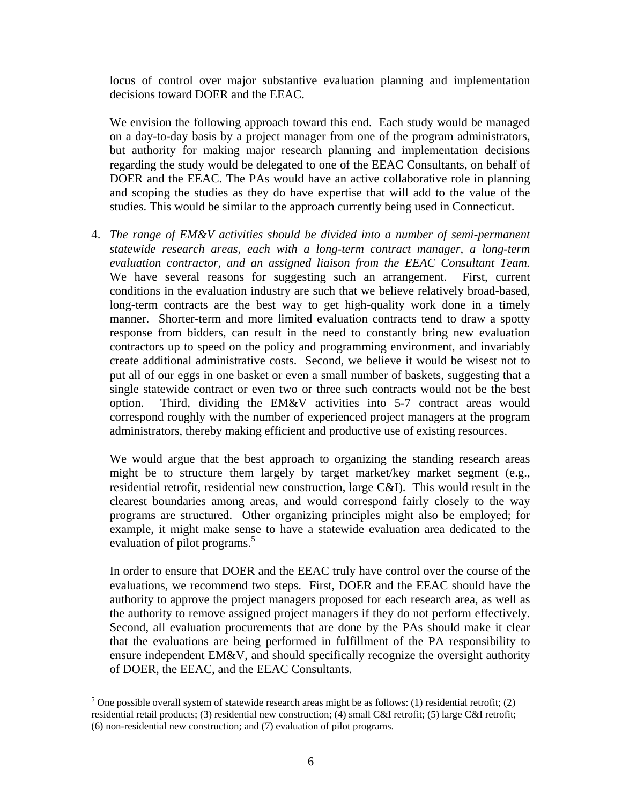locus of control over major substantive evaluation planning and implementation decisions toward DOER and the EEAC.

We envision the following approach toward this end. Each study would be managed on a day-to-day basis by a project manager from one of the program administrators, but authority for making major research planning and implementation decisions regarding the study would be delegated to one of the EEAC Consultants, on behalf of DOER and the EEAC. The PAs would have an active collaborative role in planning and scoping the studies as they do have expertise that will add to the value of the studies. This would be similar to the approach currently being used in Connecticut.

4. *The range of EM&V activities should be divided into a number of semi-permanent statewide research areas, each with a long-term contract manager, a long-term evaluation contractor, and an assigned liaison from the EEAC Consultant Team.*  We have several reasons for suggesting such an arrangement. First, current conditions in the evaluation industry are such that we believe relatively broad-based, long-term contracts are the best way to get high-quality work done in a timely manner. Shorter-term and more limited evaluation contracts tend to draw a spotty response from bidders, can result in the need to constantly bring new evaluation contractors up to speed on the policy and programming environment, and invariably create additional administrative costs. Second, we believe it would be wisest not to put all of our eggs in one basket or even a small number of baskets, suggesting that a single statewide contract or even two or three such contracts would not be the best option. Third, dividing the EM&V activities into 5-7 contract areas would correspond roughly with the number of experienced project managers at the program administrators, thereby making efficient and productive use of existing resources.

We would argue that the best approach to organizing the standing research areas might be to structure them largely by target market/key market segment (e.g., residential retrofit, residential new construction, large C&I). This would result in the clearest boundaries among areas, and would correspond fairly closely to the way programs are structured. Other organizing principles might also be employed; for example, it might make sense to have a statewide evaluation area dedicated to the evaluation of pilot programs.<sup>5</sup>

In order to ensure that DOER and the EEAC truly have control over the course of the evaluations, we recommend two steps. First, DOER and the EEAC should have the authority to approve the project managers proposed for each research area, as well as the authority to remove assigned project managers if they do not perform effectively. Second, all evaluation procurements that are done by the PAs should make it clear that the evaluations are being performed in fulfillment of the PA responsibility to ensure independent EM&V, and should specifically recognize the oversight authority of DOER, the EEAC, and the EEAC Consultants.

 $\overline{a}$ 

<sup>&</sup>lt;sup>5</sup> One possible overall system of statewide research areas might be as follows: (1) residential retrofit; (2) residential retail products; (3) residential new construction; (4) small C&I retrofit; (5) large C&I retrofit; (6) non-residential new construction; and (7) evaluation of pilot programs.